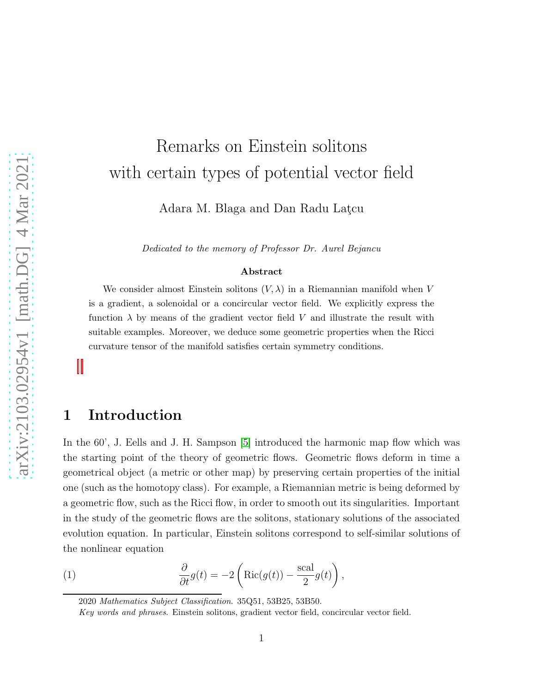# Remarks on Einstein solitons with certain types of potential vector field

Adara M. Blaga and Dan Radu Latcu

Dedicated to the memory of Professor Dr. Aurel Bejancu

#### Abstract

We consider almost Einstein solitons  $(V, \lambda)$  in a Riemannian manifold when V is a gradient, a solenoidal or a concircular vector field. We explicitly express the function  $\lambda$  by means of the gradient vector field V and illustrate the result with suitable examples. Moreover, we deduce some geometric properties when the Ricci curvature tensor of the manifold satisfies certain symmetry conditions.

#### 1 Introduction

In the 60', J. Eells and J. H. Sampson [\[5\]](#page-8-0) introduced the harmonic map flow which was the starting point of the theory of geometric flows. Geometric flows deform in time a geometrical object (a metric or other map) by preserving certain properties of the initial one (such as the homotopy class). For example, a Riemannian metric is being deformed by a geometric flow, such as the Ricci flow, in order to smooth out its singularities. Important in the study of the geometric flows are the solitons, stationary solutions of the associated evolution equation. In particular, Einstein solitons correspond to self-similar solutions of the nonlinear equation

(1) 
$$
\frac{\partial}{\partial t}g(t) = -2\left(\text{Ric}(g(t)) - \frac{\text{scal}}{2}g(t)\right),
$$

<span id="page-0-0"></span><sup>2020</sup> Mathematics Subject Classification. 35Q51, 53B25, 53B50.

Key words and phrases. Einstein solitons, gradient vector field, concircular vector field.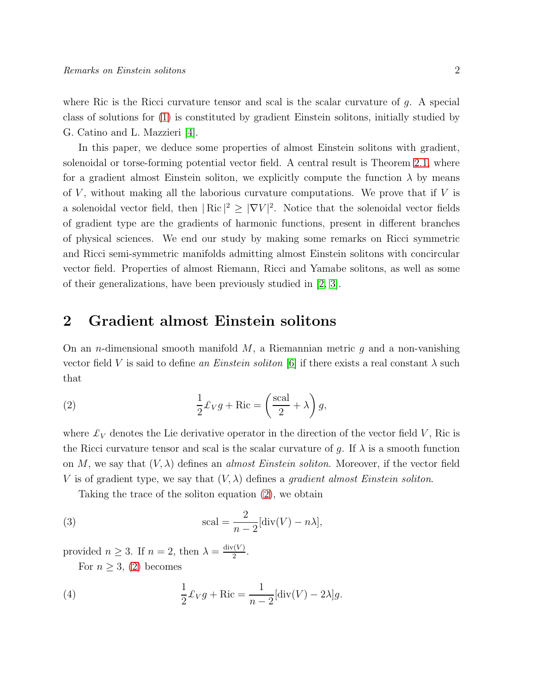where Ric is the Ricci curvature tensor and scal is the scalar curvature of  $g$ . A special class of solutions for [\(1\)](#page-0-0) is constituted by gradient Einstein solitons, initially studied by G. Catino and L. Mazzieri [\[4\]](#page-8-1).

In this paper, we deduce some properties of almost Einstein solitons with gradient, solenoidal or torse-forming potential vector field. A central result is Theorem [2.1,](#page-2-0) where for a gradient almost Einstein soliton, we explicitly compute the function  $\lambda$  by means of  $V$ , without making all the laborious curvature computations. We prove that if  $V$  is a solenoidal vector field, then  $|\text{Ric}|^2 \geq |\nabla V|^2$ . Notice that the solenoidal vector fields of gradient type are the gradients of harmonic functions, present in different branches of physical sciences. We end our study by making some remarks on Ricci symmetric and Ricci semi-symmetric manifolds admitting almost Einstein solitons with concircular vector field. Properties of almost Riemann, Ricci and Yamabe solitons, as well as some of their generalizations, have been previously studied in [\[2,](#page-7-0) [3\]](#page-8-2).

#### 2 Gradient almost Einstein solitons

On an *n*-dimensional smooth manifold  $M$ , a Riemannian metric q and a non-vanishing vector field V is said to define *an Einstein soliton* [\[6\]](#page-8-3) if there exists a real constant  $\lambda$  such that

<span id="page-1-0"></span>(2) 
$$
\frac{1}{2}\pounds_V g + \text{Ric} = \left(\frac{\text{scal}}{2} + \lambda\right)g,
$$

where  $\mathcal{L}_V$  denotes the Lie derivative operator in the direction of the vector field V, Ric is the Ricci curvature tensor and scal is the scalar curvature of g. If  $\lambda$  is a smooth function on M, we say that  $(V, \lambda)$  defines an *almost Einstein soliton*. Moreover, if the vector field V is of gradient type, we say that  $(V, \lambda)$  defines a *gradient almost Einstein soliton*.

<span id="page-1-1"></span>Taking the trace of the soliton equation [\(2\)](#page-1-0), we obtain

(3) 
$$
\text{scal} = \frac{2}{n-2}[\text{div}(V) - n\lambda],
$$

provided  $n \geq 3$ . If  $n = 2$ , then  $\lambda = \frac{\text{div}(V)}{2}$  $rac{(V)}{2}$ .

<span id="page-1-2"></span>For  $n \geq 3$ , [\(2\)](#page-1-0) becomes

(4) 
$$
\frac{1}{2}\pounds_V g + \text{Ric} = \frac{1}{n-2}[\text{div}(V) - 2\lambda]g.
$$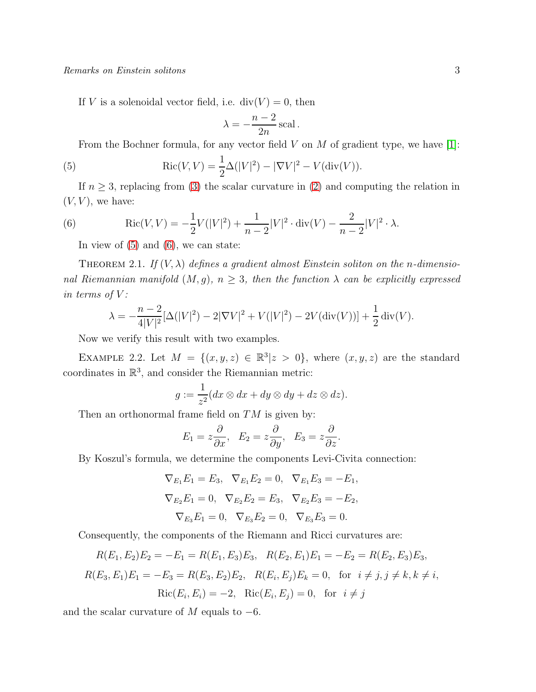If V is a solenoidal vector field, i.e.  $div(V) = 0$ , then

<span id="page-2-1"></span>
$$
\lambda = -\frac{n-2}{2n} \operatorname{scal}.
$$

From the Bochner formula, for any vector field  $V$  on  $M$  of gradient type, we have [\[1\]](#page-7-1):

(5) \t\t\t
$$
Ric(V, V) = \frac{1}{2}\Delta(|V|^2) - |\nabla V|^2 - V(\text{div}(V)).
$$

If  $n \geq 3$ , replacing from [\(3\)](#page-1-1) the scalar curvature in [\(2\)](#page-1-0) and computing the relation in  $(V, V)$ , we have:

(6) \t\t\t
$$
\operatorname{Ric}(V, V) = -\frac{1}{2}V(|V|^2) + \frac{1}{n-2}|V|^2 \cdot \operatorname{div}(V) - \frac{2}{n-2}|V|^2 \cdot \lambda.
$$

<span id="page-2-2"></span>In view of  $(5)$  and  $(6)$ , we can state:

<span id="page-2-0"></span>THEOREM 2.1. If  $(V, \lambda)$  defines a gradient almost Einstein soliton on the *n*-dimensio*nal Riemannian manifold*  $(M, g)$ *, n*  $\geq$  3*, then the function*  $\lambda$  *can be explicitly expressed in terms of*  $V$ *:* 

$$
\lambda = -\frac{n-2}{4|V|^2} [\Delta(|V|^2) - 2|\nabla V|^2 + V(|V|^2) - 2V(\text{div}(V))] + \frac{1}{2} \text{div}(V).
$$

Now we verify this result with two examples.

EXAMPLE 2.2. Let  $M = \{(x, y, z) \in \mathbb{R}^3 | z > 0\}$ , where  $(x, y, z)$  are the standard coordinates in  $\mathbb{R}^3$ , and consider the Riemannian metric:

$$
g := \frac{1}{z^2} (dx \otimes dx + dy \otimes dy + dz \otimes dz).
$$

Then an orthonormal frame field on  $TM$  is given by:

$$
E_1 = z\frac{\partial}{\partial x}, \quad E_2 = z\frac{\partial}{\partial y}, \quad E_3 = z\frac{\partial}{\partial z}.
$$

By Koszul's formula, we determine the components Levi-Civita connection:

$$
\nabla_{E_1} E_1 = E_3, \quad \nabla_{E_1} E_2 = 0, \quad \nabla_{E_1} E_3 = -E_1,
$$
  

$$
\nabla_{E_2} E_1 = 0, \quad \nabla_{E_2} E_2 = E_3, \quad \nabla_{E_2} E_3 = -E_2,
$$
  

$$
\nabla_{E_3} E_1 = 0, \quad \nabla_{E_3} E_2 = 0, \quad \nabla_{E_3} E_3 = 0.
$$

Consequently, the components of the Riemann and Ricci curvatures are:

$$
R(E_1, E_2)E_2 = -E_1 = R(E_1, E_3)E_3, \quad R(E_2, E_1)E_1 = -E_2 = R(E_2, E_3)E_3,
$$
  

$$
R(E_3, E_1)E_1 = -E_3 = R(E_3, E_2)E_2, \quad R(E_i, E_j)E_k = 0, \text{ for } i \neq j, j \neq k, k \neq i,
$$
  

$$
Ric(E_i, E_i) = -2, \quad Ric(E_i, E_j) = 0, \text{ for } i \neq j
$$

and the scalar curvature of M equals to  $-6$ .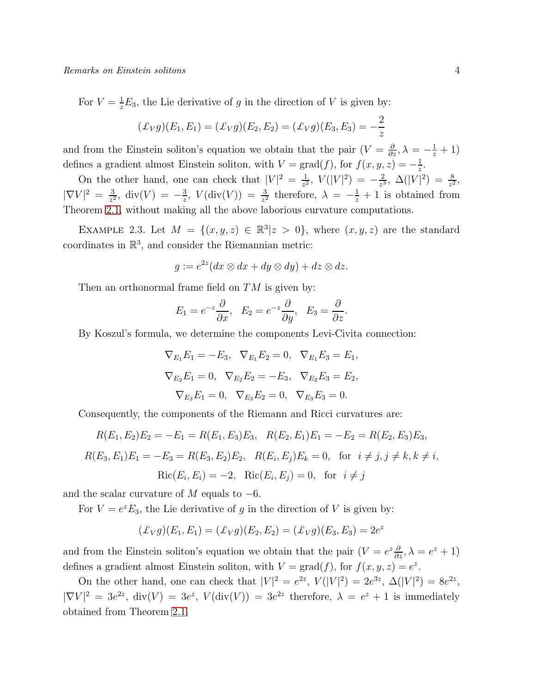For  $V = \frac{1}{z}E_3$ , the Lie derivative of g in the direction of V is given by:

$$
(\pounds_V g)(E_1, E_1) = (\pounds_V g)(E_2, E_2) = (\pounds_V g)(E_3, E_3) = -\frac{2}{z}
$$

and from the Einstein soliton's equation we obtain that the pair  $(V = \frac{\partial}{\partial z}, \lambda = -\frac{1}{z} + 1)$ defines a gradient almost Einstein soliton, with  $V = \text{grad}(f)$ , for  $f(x, y, z) = -\frac{1}{z}$  $\frac{1}{z}$ .

On the other hand, one can check that  $|V|^2 = \frac{1}{\epsilon^2}$  $\frac{1}{z^2}$ ,  $V(|V|^2) = -\frac{2}{z^3}$  $\frac{2}{z^3}$ ,  $\Delta(|V|^2) = \frac{8}{z^2}$ ,  $|\nabla V|^2 = \frac{3}{z^2}$  $\frac{3}{z^2}$ , div(V) =  $-\frac{3}{z}$  $\frac{3}{z}$ ,  $V(\text{div}(V)) = \frac{3}{z^2}$  therefore,  $\lambda = -\frac{1}{z} + 1$  is obtained from Theorem [2.1,](#page-2-0) without making all the above laborious curvature computations.

EXAMPLE 2.3. Let  $M = \{(x, y, z) \in \mathbb{R}^3 | z > 0\}$ , where  $(x, y, z)$  are the standard coordinates in  $\mathbb{R}^3$ , and consider the Riemannian metric:

$$
g := e^{2z} (dx \otimes dx + dy \otimes dy) + dz \otimes dz.
$$

Then an orthonormal frame field on  $TM$  is given by:

$$
E_1 = e^{-z} \frac{\partial}{\partial x}, \quad E_2 = e^{-z} \frac{\partial}{\partial y}, \quad E_3 = \frac{\partial}{\partial z}.
$$

By Koszul's formula, we determine the components Levi-Civita connection:

$$
\nabla_{E_1} E_1 = -E_3, \quad \nabla_{E_1} E_2 = 0, \quad \nabla_{E_1} E_3 = E_1,
$$
  

$$
\nabla_{E_2} E_1 = 0, \quad \nabla_{E_2} E_2 = -E_3, \quad \nabla_{E_2} E_3 = E_2,
$$
  

$$
\nabla_{E_3} E_1 = 0, \quad \nabla_{E_3} E_2 = 0, \quad \nabla_{E_3} E_3 = 0.
$$

Consequently, the components of the Riemann and Ricci curvatures are:

$$
R(E_1, E_2)E_2 = -E_1 = R(E_1, E_3)E_3, \quad R(E_2, E_1)E_1 = -E_2 = R(E_2, E_3)E_3,
$$
  

$$
R(E_3, E_1)E_1 = -E_3 = R(E_3, E_2)E_2, \quad R(E_i, E_j)E_k = 0, \text{ for } i \neq j, j \neq k, k \neq i,
$$
  

$$
\text{Ric}(E_i, E_i) = -2, \quad \text{Ric}(E_i, E_j) = 0, \text{ for } i \neq j
$$

and the scalar curvature of  $M$  equals to  $-6$ .

For  $V = e^z E_3$ , the Lie derivative of g in the direction of V is given by:

$$
(\pounds_V g)(E_1, E_1) = (\pounds_V g)(E_2, E_2) = (\pounds_V g)(E_3, E_3) = 2e^z
$$

and from the Einstein soliton's equation we obtain that the pair  $(V = e^z \frac{\partial}{\partial z}, \lambda = e^z + 1)$ defines a gradient almost Einstein soliton, with  $V = \text{grad}(f)$ , for  $f(x, y, z) = e^z$ .

On the other hand, one can check that  $|V|^2 = e^{2z}$ ,  $V(|V|^2) = 2e^{3z}$ ,  $\Delta(|V|^2) = 8e^{2z}$ ,  $|\nabla V|^2 = 3e^{2z}$ , div $(V) = 3e^z$ ,  $V(\text{div}(V)) = 3e^{2z}$  therefore,  $\lambda = e^z + 1$  is immediately obtained from Theorem [2.1.](#page-2-0)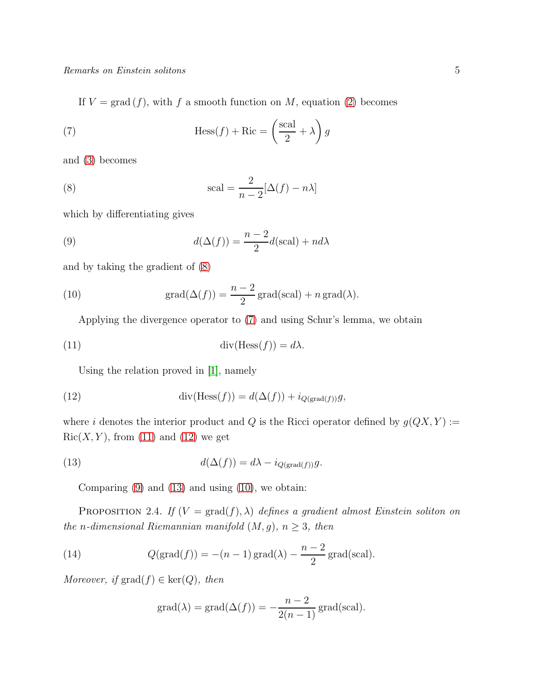<span id="page-4-1"></span>If  $V = \text{grad}(f)$ , with f a smooth function on M, equation [\(2\)](#page-1-0) becomes

(7) 
$$
\text{Hess}(f) + \text{Ric} = \left(\frac{\text{scal}}{2} + \lambda\right)g
$$

and [\(3\)](#page-1-1) becomes

<span id="page-4-0"></span>(8) 
$$
\text{scal} = \frac{2}{n-2} [\Delta(f) - n\lambda]
$$

which by differentiating gives

<span id="page-4-4"></span>(9) 
$$
d(\Delta(f)) = \frac{n-2}{2}d(\text{scal}) + nd\lambda
$$

and by taking the gradient of [\(8\)](#page-4-0)

(10) 
$$
\operatorname{grad}(\Delta(f)) = \frac{n-2}{2}\operatorname{grad}(\operatorname{scal}) + n \operatorname{grad}(\lambda).
$$

<span id="page-4-6"></span><span id="page-4-2"></span>Applying the divergence operator to [\(7\)](#page-4-1) and using Schur's lemma, we obtain

(11) 
$$
\operatorname{div}(\operatorname{Hess}(f)) = d\lambda.
$$

<span id="page-4-3"></span>Using the relation proved in [\[1\]](#page-7-1), namely

(12) 
$$
\operatorname{div}(\operatorname{Hess}(f)) = d(\Delta(f)) + i_{Q(\operatorname{grad}(f))}g,
$$

where i denotes the interior product and  $Q$  is the Ricci operator defined by  $g(QX, Y) :=$  $Ric(X, Y)$ , from [\(11\)](#page-4-2) and [\(12\)](#page-4-3) we get

(13) 
$$
d(\Delta(f)) = d\lambda - i_{Q(\text{grad}(f))}g.
$$

<span id="page-4-5"></span>Comparing  $(9)$  and  $(13)$  and using  $(10)$ , we obtain:

PROPOSITION 2.4. *If*  $(V = \text{grad}(f), \lambda)$  *defines a gradient almost Einstein soliton on the n*-dimensional Riemannian manifold  $(M, g)$ *,*  $n \geq 3$ *, then* 

(14) 
$$
Q(\text{grad}(f)) = -(n-1)\text{grad}(\lambda) - \frac{n-2}{2}\text{grad}(\text{scal}).
$$

*Moreover, if*  $\text{grad}(f) \in \text{ker}(Q)$ *, then* 

$$
grad(\lambda) = grad(\Delta(f)) = -\frac{n-2}{2(n-1)} grad(scal).
$$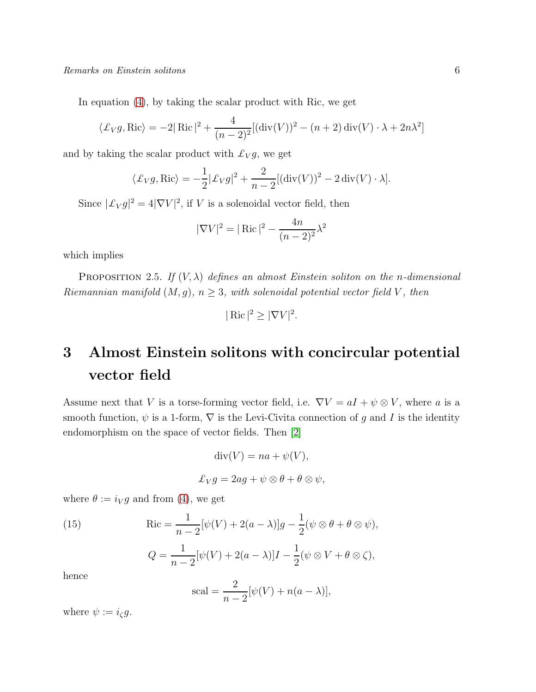In equation [\(4\)](#page-1-2), by taking the scalar product with Ric, we get

$$
\langle \pounds_V g, \text{Ric} \rangle = -2|\text{Ric}|^2 + \frac{4}{(n-2)^2} [(\text{div}(V))^2 - (n+2)\,\text{div}(V) \cdot \lambda + 2n\lambda^2]
$$

and by taking the scalar product with  $\mathcal{L}_V g$ , we get

$$
\langle \pounds_V g, \text{Ric} \rangle = -\frac{1}{2} |\pounds_V g|^2 + \frac{2}{n-2} [(\text{div}(V))^2 - 2 \text{div}(V) \cdot \lambda].
$$

Since  $\left|\mathcal{L}_V g\right|^2 = 4|\nabla V|^2$ , if V is a solenoidal vector field, then

$$
|\nabla V|^2 = |\text{ Ric}|^2 - \frac{4n}{(n-2)^2} \lambda^2
$$

which implies

PROPOSITION 2.5. *If*  $(V, \lambda)$  *defines an almost Einstein soliton on the n-dimensional Riemannian manifold*  $(M, g)$ *,*  $n \geq 3$ *, with solenoidal potential vector field* V*, then* 

$$
|\operatorname{Ric}|^2 \ge |\nabla V|^2.
$$

## 3 Almost Einstein solitons with concircular potential vector field

Assume next that V is a torse-forming vector field, i.e.  $\nabla V = aI + \psi \otimes V$ , where a is a smooth function,  $\psi$  is a 1-form,  $\nabla$  is the Levi-Civita connection of g and I is the identity endomorphism on the space of vector fields. Then [\[2\]](#page-7-0)

$$
div(V) = na + \psi(V),
$$
  

$$
\pounds_V g = 2ag + \psi \otimes \theta + \theta \otimes \psi,
$$

where  $\theta := i_V g$  and from [\(4\)](#page-1-2), we get

(15) Ric = 
$$
\frac{1}{n-2}[\psi(V) + 2(a-\lambda)]g - \frac{1}{2}(\psi \otimes \theta + \theta \otimes \psi),
$$

$$
Q = \frac{1}{n-2}[\psi(V) + 2(a-\lambda)]I - \frac{1}{2}(\psi \otimes V + \theta \otimes \zeta),
$$

hence

<span id="page-5-0"></span>
$$
scal = \frac{2}{n-2}[\psi(V) + n(a - \lambda)],
$$

where  $\psi := i_{\zeta} g$ .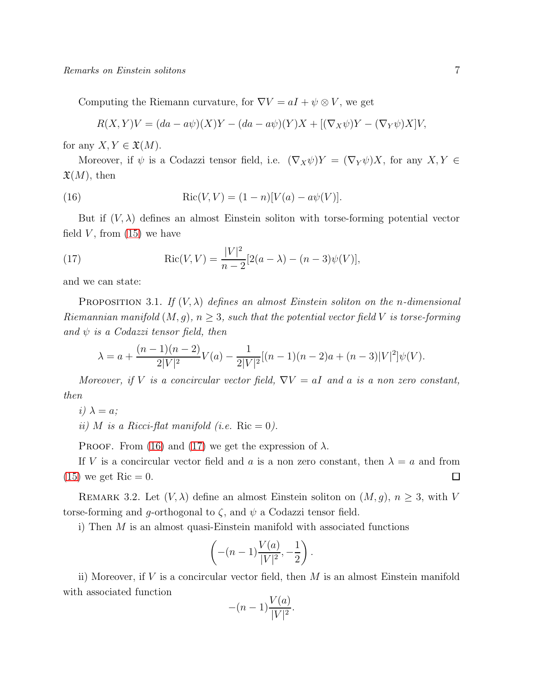Computing the Riemann curvature, for  $\nabla V = aI + \psi \otimes V$ , we get

<span id="page-6-0"></span>
$$
R(X,Y)V = (da - a\psi)(X)Y - (da - a\psi)(Y)X + [(\nabla_X \psi)Y - (\nabla_Y \psi)X]V,
$$

for any  $X, Y \in \mathfrak{X}(M)$ .

Moreover, if  $\psi$  is a Codazzi tensor field, i.e.  $(\nabla_X \psi)Y = (\nabla_Y \psi)X$ , for any  $X, Y \in$  $\mathfrak{X}(M)$ , then

(16) 
$$
Ric(V, V) = (1 - n)[V(a) - a\psi(V)].
$$

But if  $(V, \lambda)$  defines an almost Einstein soliton with torse-forming potential vector field  $V$ , from  $(15)$  we have

<span id="page-6-1"></span>(17) 
$$
Ric(V,V) = \frac{|V|^2}{n-2} [2(a-\lambda) - (n-3)\psi(V)],
$$

and we can state:

PROPOSITION 3.1. *If*  $(V, \lambda)$  *defines an almost Einstein soliton on the n-dimensional Riemannian manifold*  $(M, g)$ ,  $n \geq 3$ , such that the potential vector field V is torse-forming *and*  $\psi$  *is a Codazzi tensor field, then* 

$$
\lambda = a + \frac{(n-1)(n-2)}{2|V|^2}V(a) - \frac{1}{2|V|^2}[(n-1)(n-2)a + (n-3)|V|^2]\psi(V).
$$

*Moreover, if* V *is a concircular vector field,*  $\nabla V = aI$  *and a is a non zero constant, then*

 $i)$   $\lambda = a$ ;

*ii*) *M is a Ricci-flat manifold (i.e.* Ric  $= 0$ ).

PROOF. From [\(16\)](#page-6-0) and [\(17\)](#page-6-1) we get the expression of  $\lambda$ .

If V is a concircular vector field and a is a non zero constant, then  $\lambda = a$  and from  $(15)$  we get Ric  $= 0$ .  $\Box$ 

REMARK 3.2. Let  $(V, \lambda)$  define an almost Einstein soliton on  $(M, g)$ ,  $n \geq 3$ , with V torse-forming and g-orthogonal to  $\zeta$ , and  $\psi$  a Codazzi tensor field.

i) Then M is an almost quasi-Einstein manifold with associated functions

$$
\left(-(n-1)\frac{V(a)}{|V|^2}, -\frac{1}{2}\right).
$$

ii) Moreover, if  $V$  is a concircular vector field, then  $M$  is an almost Einstein manifold with associated function

$$
-(n-1)\frac{V(a)}{|V|^2}.
$$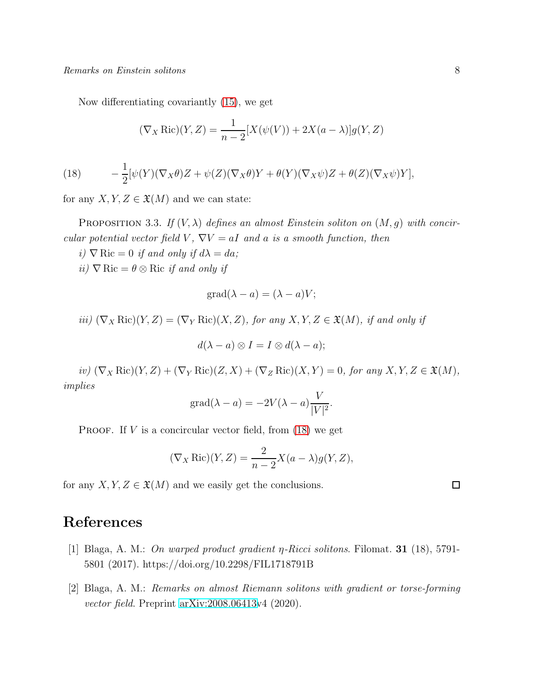Now differentiating covariantly [\(15\)](#page-5-0), we get

$$
(\nabla_X \operatorname{Ric})(Y, Z) = \frac{1}{n-2} [X(\psi(V)) + 2X(a - \lambda)]g(Y, Z)
$$

<span id="page-7-2"></span>(18) 
$$
- \frac{1}{2} [\psi(Y)(\nabla_X \theta) Z + \psi(Z)(\nabla_X \theta) Y + \theta(Y)(\nabla_X \psi) Z + \theta(Z)(\nabla_X \psi) Y],
$$

for any  $X, Y, Z \in \mathfrak{X}(M)$  and we can state:

PROPOSITION 3.3. If  $(V, \lambda)$  defines an almost Einstein soliton on  $(M, q)$  with concir*cular potential vector field*  $V$ ,  $\nabla V = aI$  *and*  $a$  *is a smooth function, then* 

- $i)$   $\nabla$  Ric = 0 *if and only if*  $d\lambda = da$ ;
- *ii*)  $\nabla$  Ric =  $\theta \otimes$  Ric *if and only if*

$$
grad(\lambda - a) = (\lambda - a)V;
$$

*iii)*  $(\nabla_X \text{Ric})(Y, Z) = (\nabla_Y \text{Ric})(X, Z)$ *, for any*  $X, Y, Z \in \mathfrak{X}(M)$ *, if and only if* 

$$
d(\lambda - a) \otimes I = I \otimes d(\lambda - a);
$$

 $(\nabla_X \text{Ric})(Y, Z) + (\nabla_Y \text{Ric})(Z, X) + (\nabla_Z \text{Ric})(X, Y) = 0$ *<i>, for any*  $X, Y, Z \in \mathfrak{X}(M)$ *, implies*

$$
\text{grad}(\lambda - a) = -2V(\lambda - a)\frac{V}{|V|^2}.
$$

PROOF. If  $V$  is a concircular vector field, from  $(18)$  we get

$$
(\nabla_X \operatorname{Ric})(Y, Z) = \frac{2}{n-2} X(a - \lambda) g(Y, Z),
$$

for any  $X, Y, Z \in \mathfrak{X}(M)$  and we easily get the conclusions.

### <span id="page-7-1"></span>References

- <span id="page-7-0"></span>[1] Blaga, A. M.: *On warped product gradient* η*-Ricci solitons*. Filomat. 31 (18), 5791- 5801 (2017). https://doi.org/10.2298/FIL1718791B
- [2] Blaga, A. M.: *Remarks on almost Riemann solitons with gradient or torse-forming vector field*. Preprint [arXiv:2008.06413v](http://arxiv.org/abs/2008.06413)4 (2020).

 $\Box$